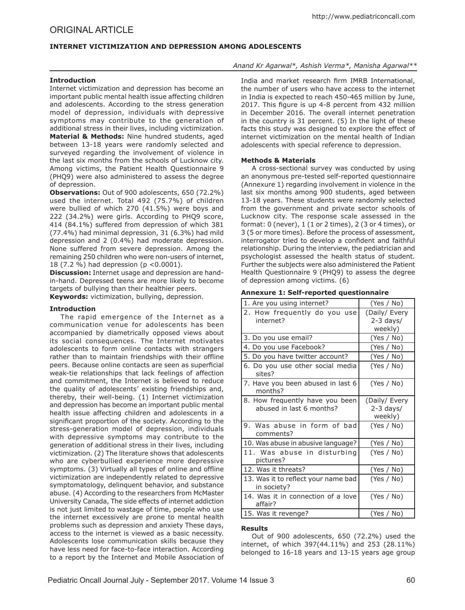# ORIGINAL ARTICLE

# **INTERNET VICTIMIZATION AND DEPRESSION AMONG ADOLESCENTS**

## **Introduction**

Internet victimization and depression has become an important public mental health issue affecting children and adolescents. According to the stress generation model of depression, individuals with depressive symptoms may contribute to the generation of additional stress in their lives, including victimization. **Material & Methods:** Nine hundred students, aged between 13-18 years were randomly selected and surveyed regarding the involvement of violence in the last six months from the schools of Lucknow city. Among victims, the Patient Health Questionnaire 9 (PHQ9) were also administered to assess the degree of depression.

**Observations:** Out of 900 adolescents, 650 (72.2%) used the internet. Total 492 (75.7%) of children were bullied of which 270 (41.5%) were boys and 222 (34.2%) were girls. According to PHQ9 score, 414 (84.1%) suffered from depression of which 381 (77.4%) had minimal depression, 31 (6.3%) had mild depression and 2 (0.4%) had moderate depression. None suffered from severe depression. Among the remaining 250 children who were non-users of internet, 18 (7.2 %) had depression (p <0.0001).

**Discussion:** Internet usage and depression are handin-hand. Depressed teens are more likely to become targets of bullying than their healthier peers.

**Keywords:** victimization, bullying, depression.

#### **Introduction**

The rapid emergence of the Internet as a communication venue for adolescents has been accompanied by diametrically opposed views about its social consequences. The Internet motivates adolescents to form online contacts with strangers rather than to maintain friendships with their offline peers. Because online contacts are seen as superficial weak-tie relationships that lack feelings of affection and commitment, the Internet is believed to reduce the quality of adolescents' existing friendships and, thereby, their well-being. (1) Internet victimization and depression has become an important public mental health issue affecting children and adolescents in a significant proportion of the society. According to the stress-generation model of depression, individuals with depressive symptoms may contribute to the generation of additional stress in their lives, including victimization. (2) The literature shows that adolescents who are cyberbullied experience more depressive symptoms. (3) Virtually all types of online and offline victimization are independently related to depressive symptomatology, delinquent behavior, and substance abuse. (4) According to the researchers from McMaster University Canada, The side effects of internet addiction is not just limited to wastage of time, people who use the internet excessively are prone to mental health problems such as depression and anxiety These days, access to the internet is viewed as a basic necessity. Adolescents lose communication skills because they have less need for face-to-face interaction. According to a report by the Internet and Mobile Association of

# *Anand Kr Agarwal\*, Ashish Verma\*, Manisha Agarwal\*\**

India and market research firm IMRB International, the number of users who have access to the internet in India is expected to reach 450-465 million by June, 2017. This figure is up 4-8 percent from 432 million in December 2016. The overall internet penetration in the country is 31 percent. (5) In the light of these facts this study was designed to explore the effect of internet victimization on the mental health of Indian adolescents with special reference to depression.

## **Methods & Materials**

A cross-sectional survey was conducted by using an anonymous pre-tested self-reported questionnaire (Annexure 1) regarding involvement in violence in the last six months among 900 students, aged between 13-18 years. These students were randomly selected from the government and private sector schools of Lucknow city. The response scale assessed in the format: 0 (never), 1 (1 or 2 times), 2 (3 or 4 times), or 3 (5 or more times). Before the process of assessment, interrogator tried to develop a confident and faithful relationship. During the interview, the pediatrician and psychologist assessed the health status of student. Further the subjects were also administered the Patient Health Questionnaire 9 (PHQ9) to assess the degree of depression among victims. (6)

#### **Annexure 1: Self-reported questionnaire**

| 1. Are you using internet?                   | (Yes / No)    |
|----------------------------------------------|---------------|
| 2. How frequently do you use                 | (Daily/ Every |
| internet?                                    | $2-3$ days/   |
|                                              | weekly)       |
| 3. Do you use email?                         | (Yes / No)    |
| 4. Do you use Facebook?                      | (Yes / No)    |
| 5. Do you have twitter account?              | (Yes / No)    |
| 6. Do you use other social media<br>sites?   | (Yes / No)    |
| 7. Have you been abused in last 6<br>months? | (Yes / No)    |
| 8. How frequently have you been              | (Daily/ Every |
| abused in last 6 months?                     | $2-3$ days/   |
|                                              | weekly)       |
| 9. Was abuse in form of bad                  | (Yes / No)    |
| comments?                                    |               |
| 10. Was abuse in abusive language?           | (Yes / No)    |
| 11. Was abuse in disturbing                  | (Yes / No)    |
| pictures?                                    |               |
| 12. Was it threats?                          | (Yes / No)    |
| 13. Was it to reflect your name bad          | (Yes / No)    |
| in society?                                  |               |
| 14. Was it in connection of a love           | (Yes / No)    |
| affair?                                      |               |
| 15. Was it revenge?                          | (Yes / No)    |

#### **Results**

Out of 900 adolescents, 650 (72.2%) used the internet, of which 397(44.11%) and 253 (28.11%) belonged to 16-18 years and 13-15 years age group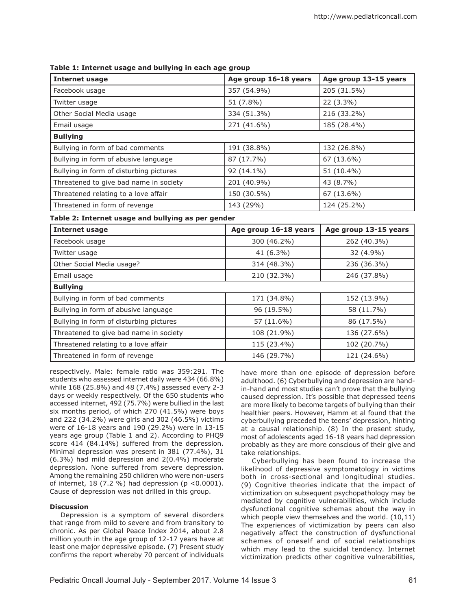**Table 1: Internet usage and bullying in each age group**

| <b>Internet usage</b>                   | Age group 16-18 years | Age group 13-15 years |
|-----------------------------------------|-----------------------|-----------------------|
| Facebook usage                          | 357 (54.9%)           | 205 (31.5%)           |
| Twitter usage                           | 51 (7.8%)             | 22 (3.3%)             |
| Other Social Media usage                | 334 (51.3%)           | 216 (33.2%)           |
| Email usage                             | 271 (41.6%)           | 185 (28.4%)           |
| <b>Bullying</b>                         |                       |                       |
| Bullying in form of bad comments        | 191 (38.8%)           | 132 (26.8%)           |
| Bullying in form of abusive language    | 87 (17.7%)            | 67 (13.6%)            |
| Bullying in form of disturbing pictures | 92 (14.1%)            | 51 (10.4%)            |
| Threatened to give bad name in society  | 201 (40.9%)           | 43 (8.7%)             |
| Threatened relating to a love affair    | 150 (30.5%)           | 67 (13.6%)            |
| Threatened in form of revenge           | 143 (29%)             | 124 (25.2%)           |

**Table 2: Internet usage and bullying as per gender**

| <b>Internet usage</b>                   | Age group 16-18 years | Age group 13-15 years |
|-----------------------------------------|-----------------------|-----------------------|
| Facebook usage                          | 300 (46.2%)           | 262 (40.3%)           |
| Twitter usage                           | 41 (6.3%)             | 32 (4.9%)             |
| Other Social Media usage?               | 314 (48.3%)           | 236 (36.3%)           |
| Email usage                             | 210 (32.3%)           | 246 (37.8%)           |
| <b>Bullying</b>                         |                       |                       |
| Bullying in form of bad comments        | 171 (34.8%)           | 152 (13.9%)           |
| Bullying in form of abusive language    | 96 (19.5%)            | 58 (11.7%)            |
| Bullying in form of disturbing pictures | 57 (11.6%)            | 86 (17.5%)            |
| Threatened to give bad name in society  | 108 (21.9%)           | 136 (27.6%)           |
| Threatened relating to a love affair    | 115 (23.4%)           | 102 (20.7%)           |
| Threatened in form of revenge           | 146 (29.7%)           | 121 (24.6%)           |

respectively. Male: female ratio was 359:291. The students who assessed internet daily were 434 (66.8%) while 168 (25.8%) and 48 (7.4%) assessed every 2-3 days or weekly respectively. Of the 650 students who accessed internet, 492 (75.7%) were bullied in the last six months period, of which 270 (41.5%) were boys and 222 (34.2%) were girls and 302 (46.5%) victims were of 16-18 years and 190 (29.2%) were in 13-15 years age group (Table 1 and 2). According to PHQ9 score 414 (84.14%) suffered from the depression. Minimal depression was present in 381 (77.4%), 31 (6.3%) had mild depression and 2(0.4%) moderate depression. None suffered from severe depression. Among the remaining 250 children who were non-users of internet, 18 (7.2 %) had depression (p <0.0001). Cause of depression was not drilled in this group.

# **Discussion**

Depression is a symptom of several disorders that range from mild to severe and from transitory to chronic. As per Global Peace Index 2014, about 2.8 million youth in the age group of 12-17 years have at least one major depressive episode. (7) Present study confirms the report whereby 70 percent of individuals have more than one episode of depression before adulthood. (6) Cyberbullying and depression are handin-hand and most studies can't prove that the bullying caused depression. It's possible that depressed teens are more likely to become targets of bullying than their healthier peers. However, Hamm et al found that the cyberbullying preceded the teens' depression, hinting at a causal relationship. (8) In the present study, most of adolescents aged 16-18 years had depression probably as they are more conscious of their give and take relationships.

Cyberbullying has been found to increase the likelihood of depressive symptomatology in victims both in cross-sectional and longitudinal studies. (9) Cognitive theories indicate that the impact of victimization on subsequent psychopathology may be mediated by cognitive vulnerabilities, which include dysfunctional cognitive schemas about the way in which people view themselves and the world. (10,11) The experiences of victimization by peers can also negatively affect the construction of dysfunctional schemes of oneself and of social relationships which may lead to the suicidal tendency. Internet victimization predicts other cognitive vulnerabilities,